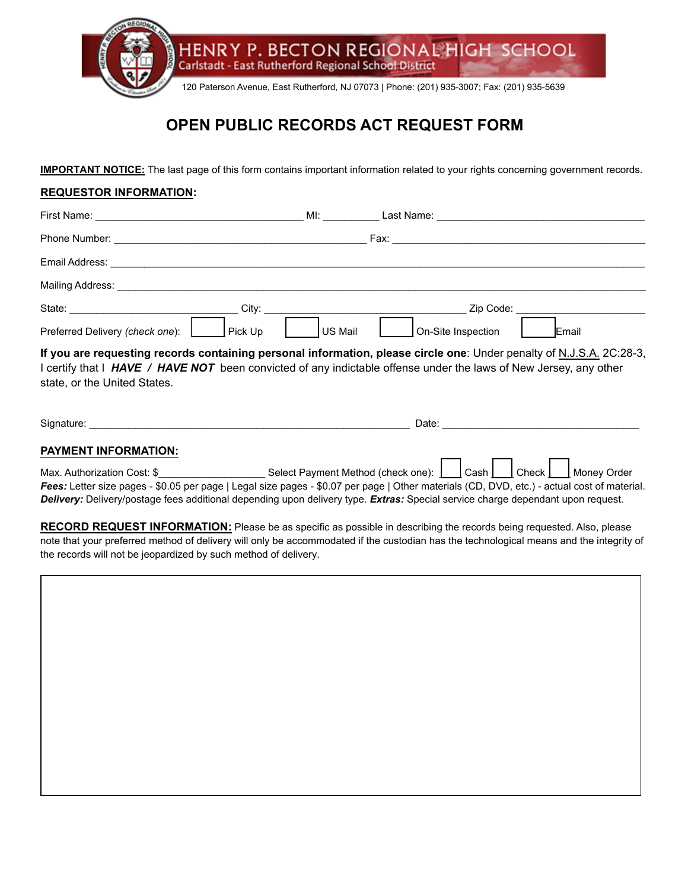

# **OPEN PUBLIC RECORDS ACT REQUEST FORM**

**IMPORTANT NOTICE:** The last page of this form contains important information related to your rights concerning government records.

### **REQUESTOR INFORMATION:**

|                                                                                                                                                                                                                                                                           |         | MI:     | Last Name:         |       |
|---------------------------------------------------------------------------------------------------------------------------------------------------------------------------------------------------------------------------------------------------------------------------|---------|---------|--------------------|-------|
| Phone Number: New York 1999                                                                                                                                                                                                                                               |         |         | Fax:               |       |
| Email Address:                                                                                                                                                                                                                                                            |         |         |                    |       |
| Mailing Address:                                                                                                                                                                                                                                                          |         |         |                    |       |
|                                                                                                                                                                                                                                                                           | City:   |         | Zip Code:          |       |
| Preferred Delivery (check one):                                                                                                                                                                                                                                           | Pick Up | US Mail | On-Site Inspection | Email |
| If you are requesting records containing personal information, please circle one: Under penalty of N.J.S.A. 2C:28-3,<br>I certify that I HAVE / HAVE NOT been convicted of any indictable offense under the laws of New Jersey, any other<br>state, or the United States. |         |         |                    |       |

| Signature:                  | Date: |  |  |
|-----------------------------|-------|--|--|
| <b>PAYMENT INFORMATION:</b> |       |  |  |

Max. Authorization Cost: \$\_\_\_\_\_\_\_\_\_\_\_\_\_\_\_\_\_\_\_\_\_\_\_\_Select Payment Method (check one):  $\Box$  Cash  $\Box$  Check  $\Box$  Money Order Fees: Letter size pages - \$0.05 per page | Legal size pages - \$0.07 per page | Other materials (CD, DVD, etc.) - actual cost of material. *Delivery:* Delivery/postage fees additional depending upon delivery type. *Extras:* Special service charge dependant upon request.

**RECORD REQUEST INFORMATION:** Please be as specific as possible in describing the records being requested. Also, please note that your preferred method of delivery will only be accommodated if the custodian has the technological means and the integrity of the records will not be jeopardized by such method of delivery.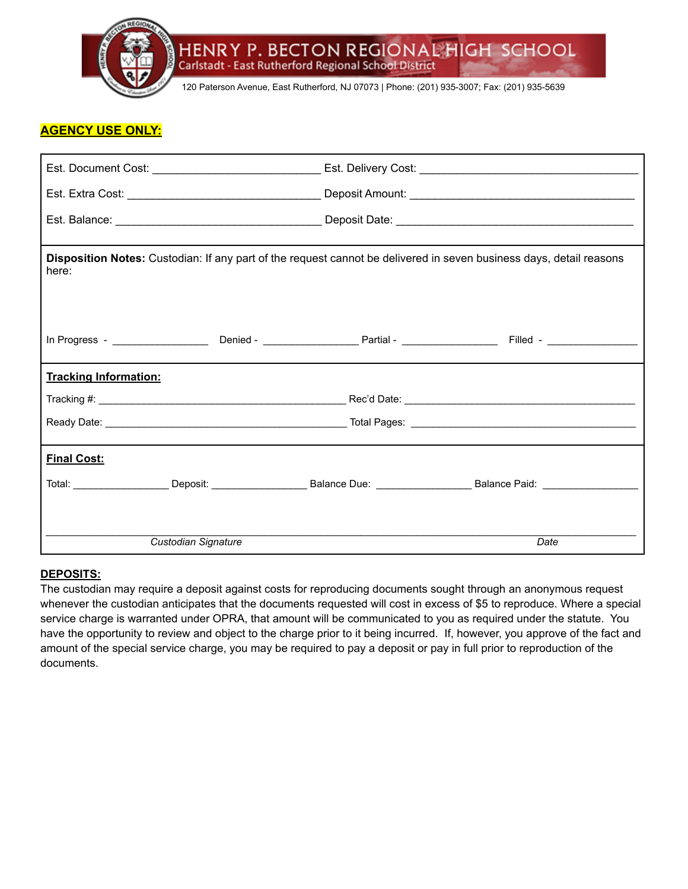

## **AGENCY USE ONLY:**

| here:                        |                            |  | Disposition Notes: Custodian: If any part of the request cannot be delivered in seven business days, detail reasons                     |  |  |
|------------------------------|----------------------------|--|-----------------------------------------------------------------------------------------------------------------------------------------|--|--|
|                              |                            |  |                                                                                                                                         |  |  |
| <b>Tracking Information:</b> |                            |  |                                                                                                                                         |  |  |
|                              |                            |  |                                                                                                                                         |  |  |
|                              |                            |  |                                                                                                                                         |  |  |
| <b>Final Cost:</b>           |                            |  |                                                                                                                                         |  |  |
|                              |                            |  | Total: ___________________Deposit: ________________________Balance Due: _______________________Balance Paid: __________________________ |  |  |
|                              | <b>Custodian Signature</b> |  | Date                                                                                                                                    |  |  |

### **DEPOSITS:**

The custodian may require a deposit against costs for reproducing documents sought through an anonymous request whenever the custodian anticipates that the documents requested will cost in excess of \$5 to reproduce. Where a special service charge is warranted under OPRA, that amount will be communicated to you as required under the statute. You have the opportunity to review and object to the charge prior to it being incurred. If, however, you approve of the fact and amount of the special service charge, you may be required to pay a deposit or pay in full prior to reproduction of the documents.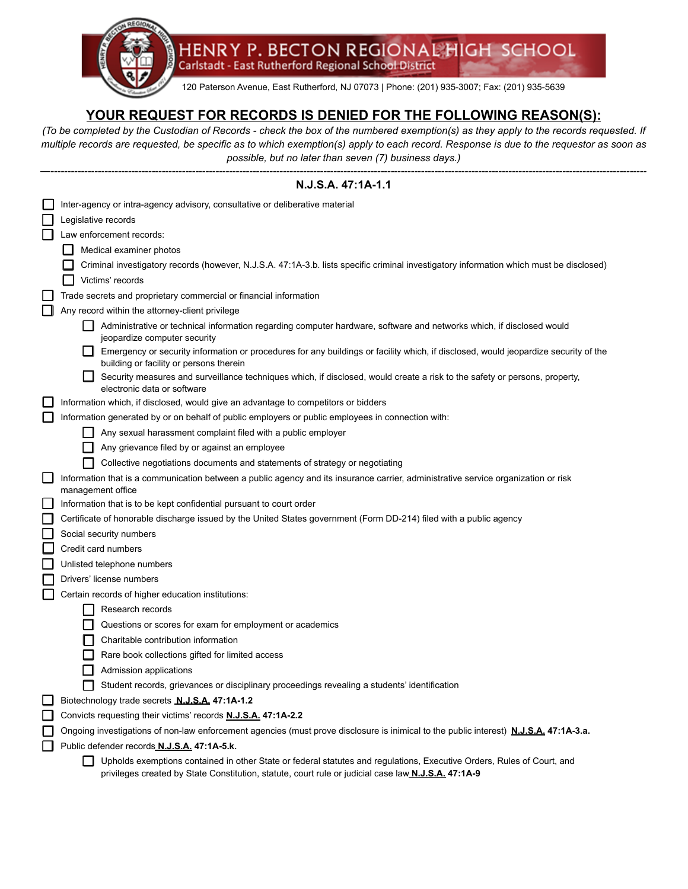

HENRY P. BECTON REGIONAL HIGH SCHOOL<br>Carlstadt - East Rutherford Regional School District

120 Paterson Avenue, East Rutherford, NJ 07073 | Phone: (201) 935-3007; Fax: (201) 935-5639

# **YOUR REQUEST FOR RECORDS IS DENIED FOR THE FOLLOWING REASON(S):**

*(To be completed by the Custodian of Records - check the box of the numbered exemption(s) as they apply to the records requested. If multiple records are requested, be specific as to which exemption(s) apply to each record. Response is due to the requestor as soon as possible, but no later than seven (7) business days.)*

| N.J.S.A. 47:1A-1.1                                                                                                                                                                                                                   |
|--------------------------------------------------------------------------------------------------------------------------------------------------------------------------------------------------------------------------------------|
| Inter-agency or intra-agency advisory, consultative or deliberative material                                                                                                                                                         |
| Legislative records                                                                                                                                                                                                                  |
| Law enforcement records:                                                                                                                                                                                                             |
| Medical examiner photos                                                                                                                                                                                                              |
| Criminal investigatory records (however, N.J.S.A. 47:1A-3.b. lists specific criminal investigatory information which must be disclosed)                                                                                              |
| Victims' records                                                                                                                                                                                                                     |
| Trade secrets and proprietary commercial or financial information                                                                                                                                                                    |
| Any record within the attorney-client privilege                                                                                                                                                                                      |
| Administrative or technical information regarding computer hardware, software and networks which, if disclosed would                                                                                                                 |
| jeopardize computer security                                                                                                                                                                                                         |
| Emergency or security information or procedures for any buildings or facility which, if disclosed, would jeopardize security of the<br>building or facility or persons therein                                                       |
| Security measures and surveillance techniques which, if disclosed, would create a risk to the safety or persons, property,                                                                                                           |
| electronic data or software                                                                                                                                                                                                          |
| Information which, if disclosed, would give an advantage to competitors or bidders                                                                                                                                                   |
| Information generated by or on behalf of public employers or public employees in connection with:                                                                                                                                    |
| Any sexual harassment complaint filed with a public employer                                                                                                                                                                         |
| Any grievance filed by or against an employee                                                                                                                                                                                        |
| Collective negotiations documents and statements of strategy or negotiating                                                                                                                                                          |
| Information that is a communication between a public agency and its insurance carrier, administrative service organization or risk<br>management office                                                                              |
| Information that is to be kept confidential pursuant to court order                                                                                                                                                                  |
| Certificate of honorable discharge issued by the United States government (Form DD-214) filed with a public agency                                                                                                                   |
| Social security numbers                                                                                                                                                                                                              |
| Credit card numbers                                                                                                                                                                                                                  |
| Unlisted telephone numbers                                                                                                                                                                                                           |
| Drivers' license numbers                                                                                                                                                                                                             |
| Certain records of higher education institutions:                                                                                                                                                                                    |
| Research records                                                                                                                                                                                                                     |
| Questions or scores for exam for employment or academics                                                                                                                                                                             |
| Charitable contribution information                                                                                                                                                                                                  |
| Rare book collections gifted for limited access                                                                                                                                                                                      |
| Admission applications                                                                                                                                                                                                               |
| Student records, grievances or disciplinary proceedings revealing a students' identification                                                                                                                                         |
| Biotechnology trade secrets N.J.S.A. 47:1A-1.2                                                                                                                                                                                       |
| Convicts requesting their victims' records N.J.S.A. 47:1A-2.2                                                                                                                                                                        |
| Ongoing investigations of non-law enforcement agencies (must prove disclosure is inimical to the public interest) N.J.S.A. 47:1A-3.a.                                                                                                |
| Public defender records N.J.S.A. 47:1A-5.k.                                                                                                                                                                                          |
| Upholds exemptions contained in other State or federal statutes and regulations, Executive Orders, Rules of Court, and<br>privileges created by State Constitution, statute, court rule or judicial case law <b>N.J.S.A. 47:1A-9</b> |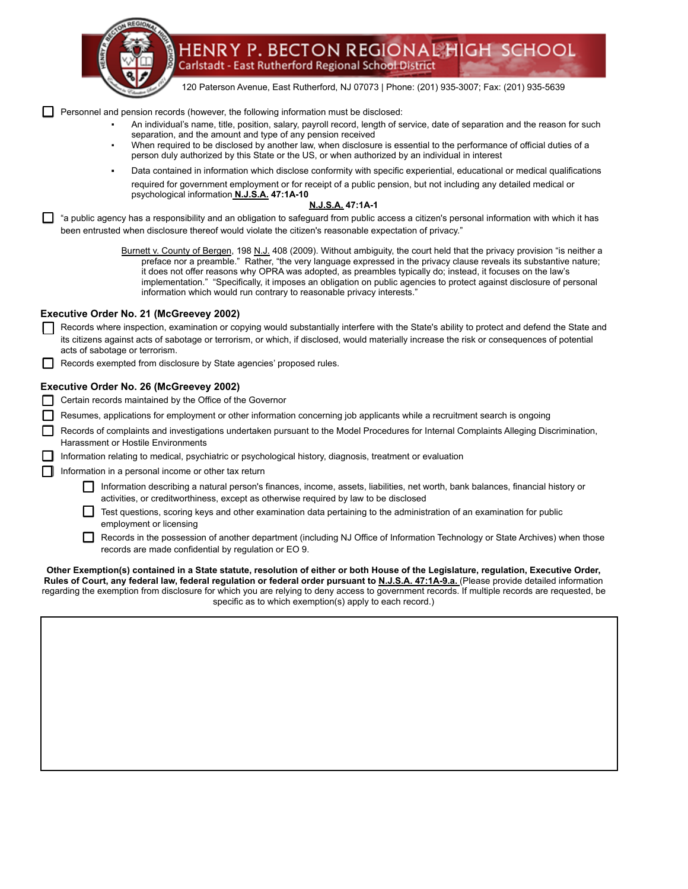

# HENRY P. BECTON REGIONAL HIGH SCHOOL Carlstadt - East Rutherford Regional School District

120 Paterson Avenue, East Rutherford, NJ 07073 | Phone: (201) 935-3007; Fax: (201) 935-5639

 $\Box$  Personnel and pension records (however, the following information must be disclosed:

- An individual's name, title, position, salary, payroll record, length of service, date of separation and the reason for such separation, and the amount and type of any pension received
- When required to be disclosed by another law, when disclosure is essential to the performance of official duties of a person duly authorized by this State or the US, or when authorized by an individual in interest
- Data contained in information which disclose conformity with specific experiential, educational or medical qualifications required for government employment or for receipt of a public pension, but not including any detailed medical or psychological information **N.J.S.A. 47:1A-10**

#### **N.J.S.A. 47:1A-1**

"a public agency has a responsibility and an obligation to safeguard from public access a citizen's personal information with which it has been entrusted when disclosure thereof would violate the citizen's reasonable expectation of privacy."

> Burnett v. County of Bergen, 198 N.J. 408 (2009). Without ambiguity, the court held that the privacy provision "is neither a preface nor a preamble." Rather, "the very language expressed in the privacy clause reveals its substantive nature; it does not offer reasons why OPRA was adopted, as preambles typically do; instead, it focuses on the law's implementation." "Specifically, it imposes an obligation on public agencies to protect against disclosure of personal information which would run contrary to reasonable privacy interests."

#### **Executive Order No. 21 (McGreevey 2002)**

Records where inspection, examination or copying would substantially interfere with the State's ability to protect and defend the State and its citizens against acts of sabotage or terrorism, or which, if disclosed, would materially increase the risk or consequences of potential acts of sabotage or terrorism.

Records exempted from disclosure by State agencies' proposed rules.

#### **Executive Order No. 26 (McGreevey 2002)**

- $\Box$  Certain records maintained by the Office of the Governor
- Resumes, applications for employment or other information concerning job applicants while a recruitment search is ongoing
- Records of complaints and investigations undertaken pursuant to the Model Procedures for Internal Complaints Alleging Discrimination, Harassment or Hostile Environments
- Information relating to medical, psychiatric or psychological history, diagnosis, treatment or evaluation
- Information in a personal income or other tax return
	- Information describing a natural person's finances, income, assets, liabilities, net worth, bank balances, financial history or activities, or creditworthiness, except as otherwise required by law to be disclosed
	- Test questions, scoring keys and other examination data pertaining to the administration of an examination for public employment or licensing
	- Records in the possession of another department (including NJ Office of Information Technology or State Archives) when those records are made confidential by regulation or EO 9.

**Other Exemption(s) contained in a State statute, resolution of either or both House of the Legislature, regulation, Executive Order, Rules of Court, any federal law, federal regulation or federal order pursuant to N.J.S.A. 47:1A-9.a.** (Please provide detailed information regarding the exemption from disclosure for which you are relying to deny access to government records. If multiple records are requested, be specific as to which exemption(s) apply to each record.)